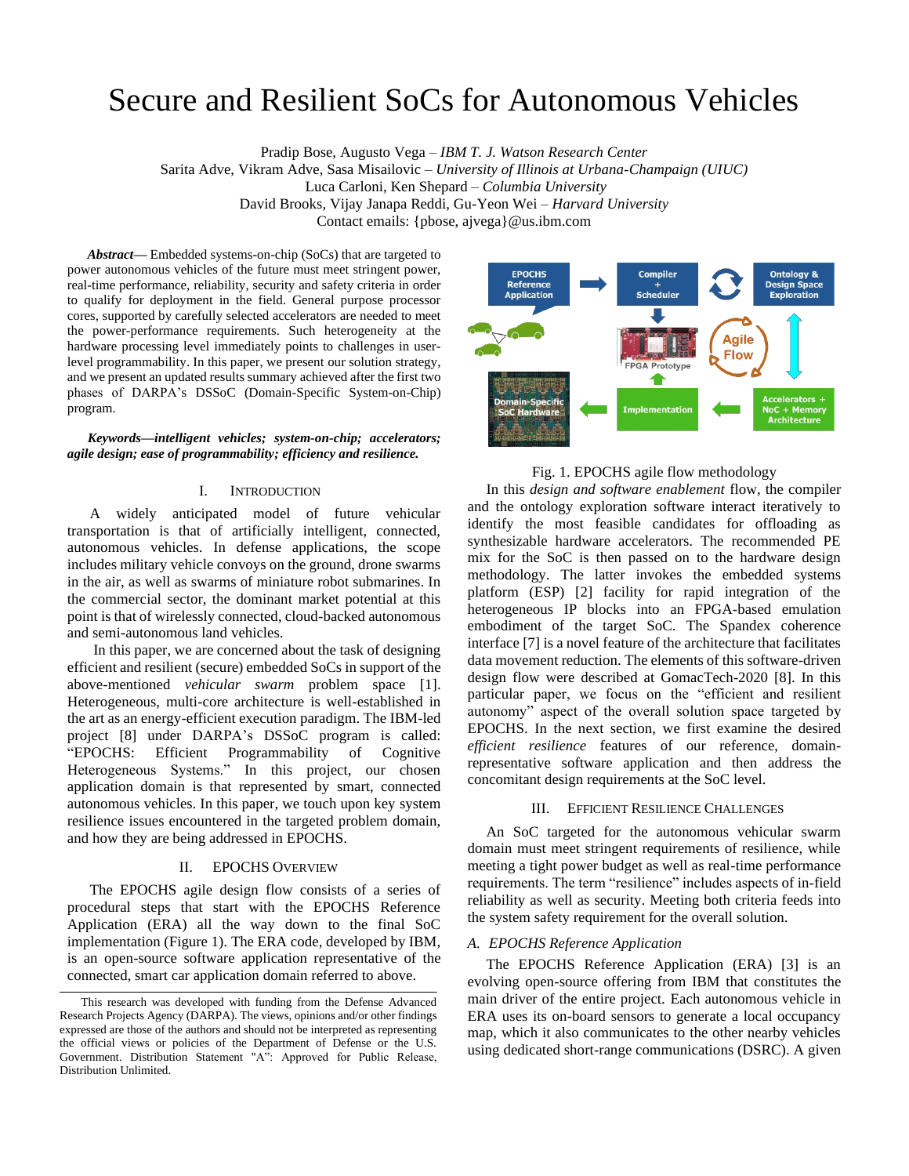# Secure and Resilient SoCs for Autonomous Vehicles

Pradip Bose, Augusto Vega *– IBM T. J. Watson Research Center*

Sarita Adve, Vikram Adve, Sasa Misailovic *– University of Illinois at Urbana-Champaign (UIUC)* Luca Carloni, Ken Shepard *– Columbia University*

David Brooks, Vijay Janapa Reddi, Gu-Yeon Wei *– Harvard University*

Contact emails: {pbose, ajvega}@us.ibm.com

*Abstract***—** Embedded systems-on-chip (SoCs) that are targeted to power autonomous vehicles of the future must meet stringent power, real-time performance, reliability, security and safety criteria in order to qualify for deployment in the field. General purpose processor cores, supported by carefully selected accelerators are needed to meet the power-performance requirements. Such heterogeneity at the hardware processing level immediately points to challenges in userlevel programmability. In this paper, we present our solution strategy, and we present an updated results summary achieved after the first two phases of DARPA's DSSoC (Domain-Specific System-on-Chip) program.

### *Keywords—intelligent vehicles; system-on-chip; accelerators; agile design; ease of programmability; efficiency and resilience.*

# I. INTRODUCTION

 A widely anticipated model of future vehicular transportation is that of artificially intelligent, connected, autonomous vehicles. In defense applications, the scope includes military vehicle convoys on the ground, drone swarms in the air, as well as swarms of miniature robot submarines. In the commercial sector, the dominant market potential at this point is that of wirelessly connected, cloud-backed autonomous and semi-autonomous land vehicles.

 In this paper, we are concerned about the task of designing efficient and resilient (secure) embedded SoCs in support of the above-mentioned *vehicular swarm* problem space [1]. Heterogeneous, multi-core architecture is well-established in the art as an energy-efficient execution paradigm. The IBM-led project [8] under DARPA's DSSoC program is called: "EPOCHS: Efficient Programmability of Cognitive Heterogeneous Systems." In this project, our chosen application domain is that represented by smart, connected autonomous vehicles. In this paper, we touch upon key system resilience issues encountered in the targeted problem domain, and how they are being addressed in EPOCHS.

# II. EPOCHS OVERVIEW

 The EPOCHS agile design flow consists of a series of procedural steps that start with the EPOCHS Reference Application (ERA) all the way down to the final SoC implementation (Figure 1). The ERA code, developed by IBM, is an open-source software application representative of the connected, smart car application domain referred to above.



# Fig. 1. EPOCHS agile flow methodology

 In this *design and software enablement* flow, the compiler and the ontology exploration software interact iteratively to identify the most feasible candidates for offloading as synthesizable hardware accelerators. The recommended PE mix for the SoC is then passed on to the hardware design methodology. The latter invokes the embedded systems platform (ESP) [2] facility for rapid integration of the heterogeneous IP blocks into an FPGA-based emulation embodiment of the target SoC. The Spandex coherence interface [7] is a novel feature of the architecture that facilitates data movement reduction. The elements of this software-driven design flow were described at GomacTech-2020 [8]. In this particular paper, we focus on the "efficient and resilient autonomy" aspect of the overall solution space targeted by EPOCHS. In the next section, we first examine the desired *efficient resilience* features of our reference, domainrepresentative software application and then address the concomitant design requirements at the SoC level.

# III. EFFICIENT RESILIENCE CHALLENGES

 An SoC targeted for the autonomous vehicular swarm domain must meet stringent requirements of resilience, while meeting a tight power budget as well as real-time performance requirements. The term "resilience" includes aspects of in-field reliability as well as security. Meeting both criteria feeds into the system safety requirement for the overall solution.

#### *A. EPOCHS Reference Application*

 The EPOCHS Reference Application (ERA) [3] is an evolving open-source offering from IBM that constitutes the main driver of the entire project. Each autonomous vehicle in ERA uses its on-board sensors to generate a local occupancy map, which it also communicates to the other nearby vehicles using dedicated short-range communications (DSRC). A given

This research was developed with funding from the Defense Advanced Research Projects Agency (DARPA). The views, opinions and/or other findings expressed are those of the authors and should not be interpreted as representing the official views or policies of the Department of Defense or the U.S. Government. Distribution Statement "A": Approved for Public Release, Distribution Unlimited.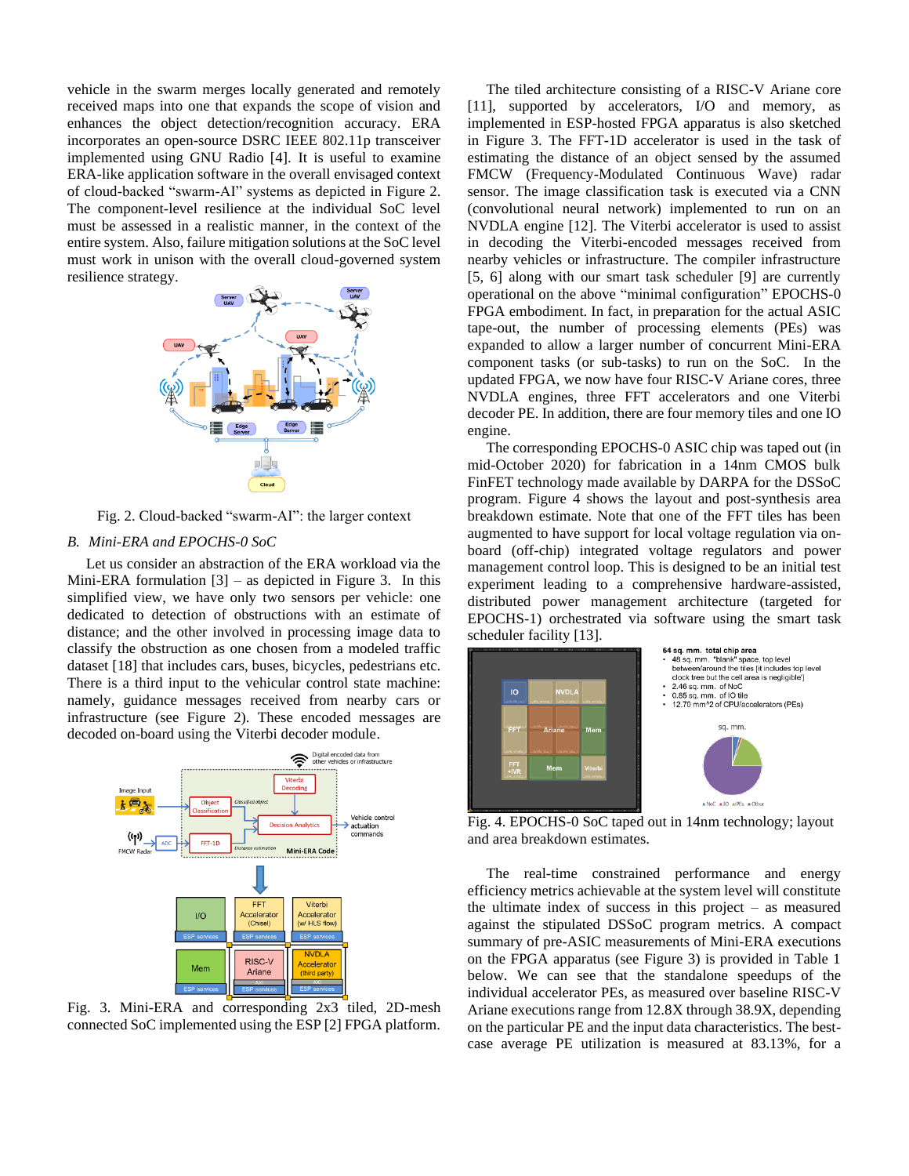vehicle in the swarm merges locally generated and remotely received maps into one that expands the scope of vision and enhances the object detection/recognition accuracy. ERA incorporates an open-source DSRC IEEE 802.11p transceiver implemented using GNU Radio [4]. It is useful to examine ERA-like application software in the overall envisaged context of cloud-backed "swarm-AI" systems as depicted in Figure 2. The component-level resilience at the individual SoC level must be assessed in a realistic manner, in the context of the entire system. Also, failure mitigation solutions at the SoC level must work in unison with the overall cloud-governed system resilience strategy.



Fig. 2. Cloud-backed "swarm-AI": the larger context

# *B. Mini-ERA and EPOCHS-0 SoC*

 Let us consider an abstraction of the ERA workload via the Mini-ERA formulation  $[3]$  – as depicted in Figure 3. In this simplified view, we have only two sensors per vehicle: one dedicated to detection of obstructions with an estimate of distance; and the other involved in processing image data to classify the obstruction as one chosen from a modeled traffic dataset [18] that includes cars, buses, bicycles, pedestrians etc. There is a third input to the vehicular control state machine: namely, guidance messages received from nearby cars or infrastructure (see Figure 2). These encoded messages are decoded on-board using the Viterbi decoder module.



Fig. 3. Mini-ERA and corresponding 2x3 tiled, 2D-mesh connected SoC implemented using the ESP [2] FPGA platform.

 The tiled architecture consisting of a RISC-V Ariane core [11], supported by accelerators, I/O and memory, as implemented in ESP-hosted FPGA apparatus is also sketched in Figure 3. The FFT-1D accelerator is used in the task of estimating the distance of an object sensed by the assumed FMCW (Frequency-Modulated Continuous Wave) radar sensor. The image classification task is executed via a CNN (convolutional neural network) implemented to run on an NVDLA engine [12]. The Viterbi accelerator is used to assist in decoding the Viterbi-encoded messages received from nearby vehicles or infrastructure. The compiler infrastructure [5, 6] along with our smart task scheduler [9] are currently operational on the above "minimal configuration" EPOCHS-0 FPGA embodiment. In fact, in preparation for the actual ASIC tape-out, the number of processing elements (PEs) was expanded to allow a larger number of concurrent Mini-ERA component tasks (or sub-tasks) to run on the SoC. In the updated FPGA, we now have four RISC-V Ariane cores, three NVDLA engines, three FFT accelerators and one Viterbi decoder PE. In addition, there are four memory tiles and one IO engine.

 The corresponding EPOCHS-0 ASIC chip was taped out (in mid-October 2020) for fabrication in a 14nm CMOS bulk FinFET technology made available by DARPA for the DSSoC program. Figure 4 shows the layout and post-synthesis area breakdown estimate. Note that one of the FFT tiles has been augmented to have support for local voltage regulation via onboard (off-chip) integrated voltage regulators and power management control loop. This is designed to be an initial test experiment leading to a comprehensive hardware-assisted, distributed power management architecture (targeted for EPOCHS-1) orchestrated via software using the smart task scheduler facility [13].



Fig. 4. EPOCHS-0 SoC taped out in 14nm technology; layout and area breakdown estimates.

 The real-time constrained performance and energy efficiency metrics achievable at the system level will constitute the ultimate index of success in this project – as measured against the stipulated DSSoC program metrics. A compact summary of pre-ASIC measurements of Mini-ERA executions on the FPGA apparatus (see Figure 3) is provided in Table 1 below. We can see that the standalone speedups of the individual accelerator PEs, as measured over baseline RISC-V Ariane executions range from 12.8X through 38.9X, depending on the particular PE and the input data characteristics. The bestcase average PE utilization is measured at 83.13%, for a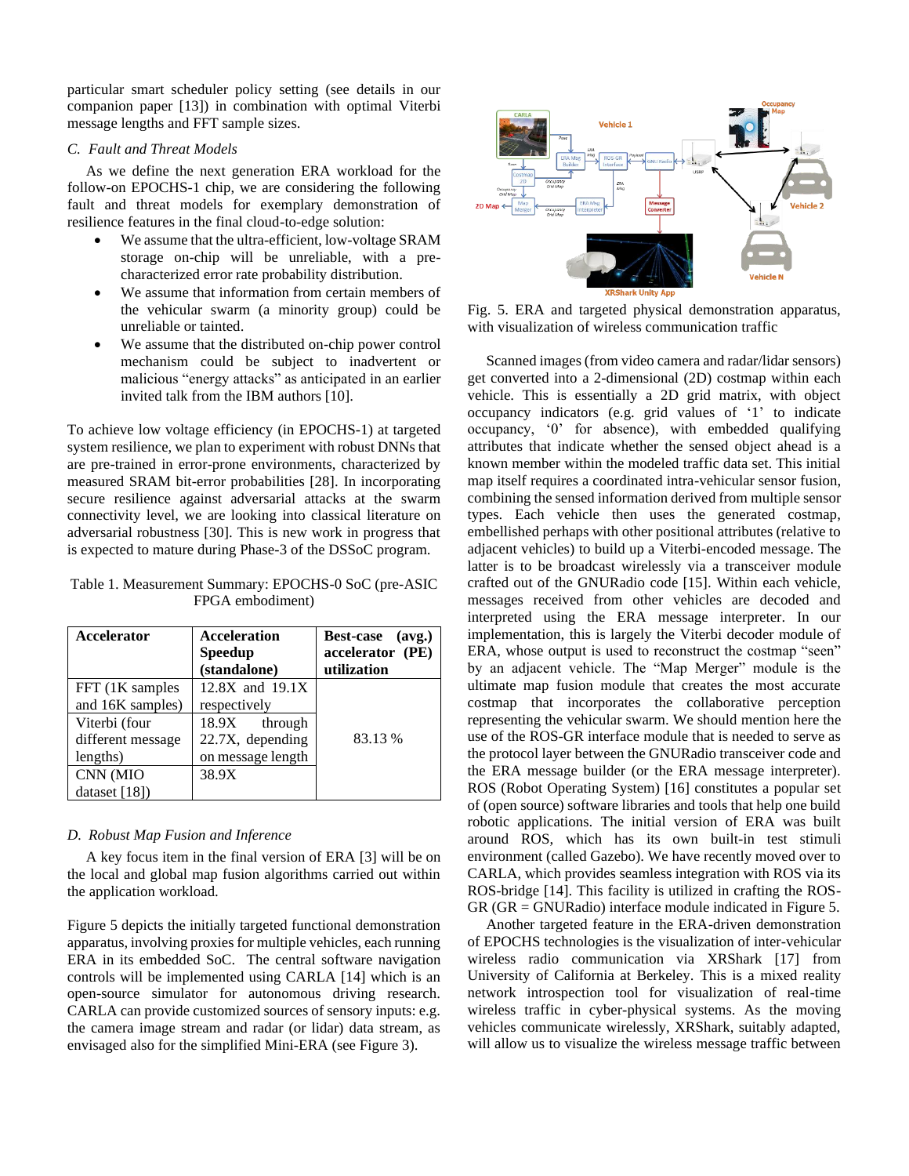particular smart scheduler policy setting (see details in our companion paper [13]) in combination with optimal Viterbi message lengths and FFT sample sizes.

# *C. Fault and Threat Models*

 As we define the next generation ERA workload for the follow-on EPOCHS-1 chip, we are considering the following fault and threat models for exemplary demonstration of resilience features in the final cloud-to-edge solution:

- We assume that the ultra-efficient, low-voltage SRAM storage on-chip will be unreliable, with a precharacterized error rate probability distribution.
- We assume that information from certain members of the vehicular swarm (a minority group) could be unreliable or tainted.
- We assume that the distributed on-chip power control mechanism could be subject to inadvertent or malicious "energy attacks" as anticipated in an earlier invited talk from the IBM authors [10].

To achieve low voltage efficiency (in EPOCHS-1) at targeted system resilience, we plan to experiment with robust DNNs that are pre-trained in error-prone environments, characterized by measured SRAM bit-error probabilities [28]. In incorporating secure resilience against adversarial attacks at the swarm connectivity level, we are looking into classical literature on adversarial robustness [30]. This is new work in progress that is expected to mature during Phase-3 of the DSSoC program.

Table 1. Measurement Summary: EPOCHS-0 SoC (pre-ASIC FPGA embodiment)

| <b>Accelerator</b>                             | <b>Acceleration</b><br><b>Speedup</b><br>(standalone)  | Best-case (avg.)<br>accelerator (PE)<br>utilization |
|------------------------------------------------|--------------------------------------------------------|-----------------------------------------------------|
| FFT (1K samples<br>and 16K samples)            | $12.8X$ and $19.1X$<br>respectively                    |                                                     |
| Viterbi (four<br>different message<br>lengths) | 18.9X through<br>22.7X, depending<br>on message length | 83.13 %                                             |
| CNN (MIO<br>dataset $[18]$                     | 38.9X                                                  |                                                     |

#### *D. Robust Map Fusion and Inference*

 A key focus item in the final version of ERA [3] will be on the local and global map fusion algorithms carried out within the application workload.

Figure 5 depicts the initially targeted functional demonstration apparatus, involving proxies for multiple vehicles, each running ERA in its embedded SoC. The central software navigation controls will be implemented using CARLA [14] which is an open-source simulator for autonomous driving research. CARLA can provide customized sources of sensory inputs: e.g. the camera image stream and radar (or lidar) data stream, as envisaged also for the simplified Mini-ERA (see Figure 3).



Fig. 5. ERA and targeted physical demonstration apparatus, with visualization of wireless communication traffic

 Scanned images (from video camera and radar/lidar sensors) get converted into a 2-dimensional (2D) costmap within each vehicle. This is essentially a 2D grid matrix, with object occupancy indicators (e.g. grid values of '1' to indicate occupancy, '0' for absence), with embedded qualifying attributes that indicate whether the sensed object ahead is a known member within the modeled traffic data set. This initial map itself requires a coordinated intra-vehicular sensor fusion, combining the sensed information derived from multiple sensor types. Each vehicle then uses the generated costmap, embellished perhaps with other positional attributes (relative to adjacent vehicles) to build up a Viterbi-encoded message. The latter is to be broadcast wirelessly via a transceiver module crafted out of the GNURadio code [15]. Within each vehicle, messages received from other vehicles are decoded and interpreted using the ERA message interpreter. In our implementation, this is largely the Viterbi decoder module of ERA, whose output is used to reconstruct the costmap "seen" by an adjacent vehicle. The "Map Merger" module is the ultimate map fusion module that creates the most accurate costmap that incorporates the collaborative perception representing the vehicular swarm. We should mention here the use of the ROS-GR interface module that is needed to serve as the protocol layer between the GNURadio transceiver code and the ERA message builder (or the ERA message interpreter). ROS (Robot Operating System) [16] constitutes a popular set of (open source) software libraries and tools that help one build robotic applications. The initial version of ERA was built around ROS, which has its own built-in test stimuli environment (called Gazebo). We have recently moved over to CARLA, which provides seamless integration with ROS via its ROS-bridge [14]. This facility is utilized in crafting the ROS-GR (GR = GNURadio) interface module indicated in Figure 5.

 Another targeted feature in the ERA-driven demonstration of EPOCHS technologies is the visualization of inter-vehicular wireless radio communication via XRShark [17] from University of California at Berkeley. This is a mixed reality network introspection tool for visualization of real-time wireless traffic in cyber-physical systems. As the moving vehicles communicate wirelessly, XRShark, suitably adapted, will allow us to visualize the wireless message traffic between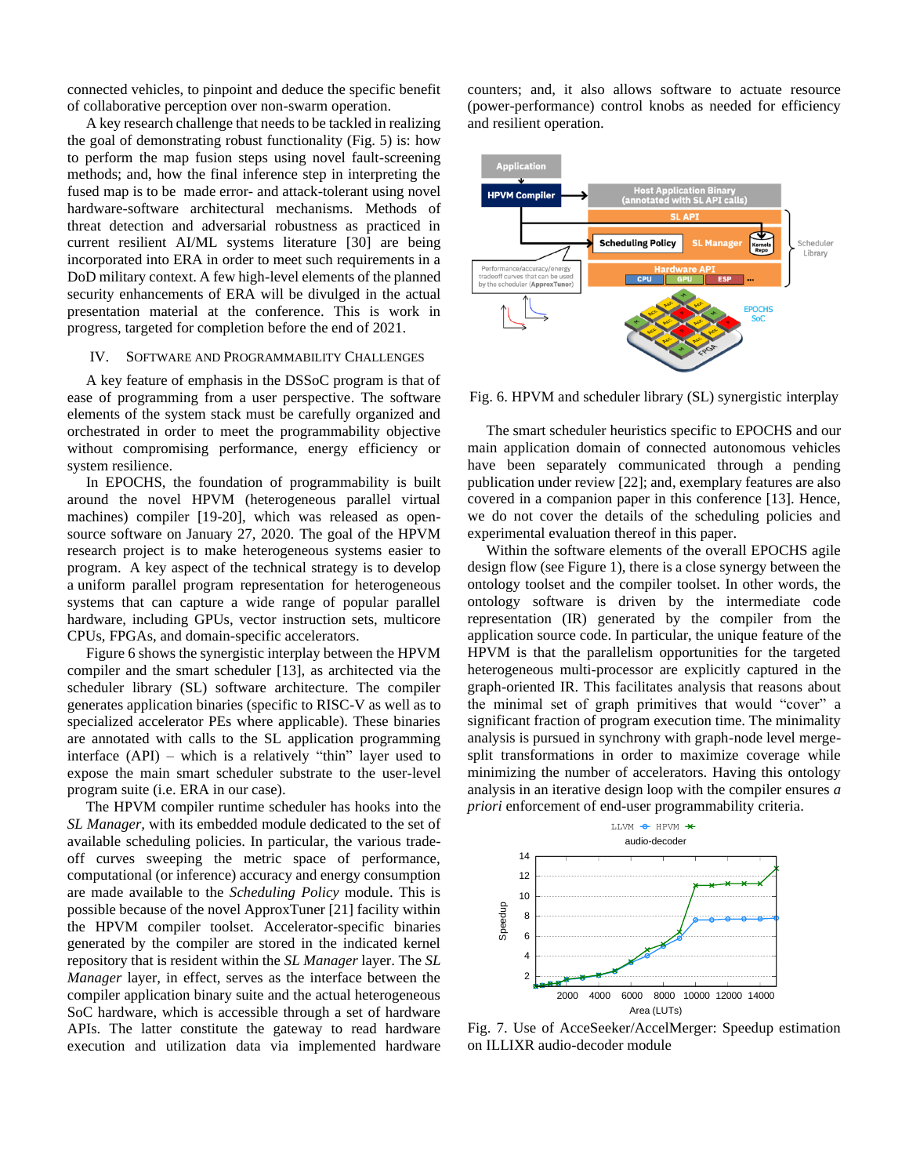connected vehicles, to pinpoint and deduce the specific benefit of collaborative perception over non-swarm operation.

 A key research challenge that needs to be tackled in realizing the goal of demonstrating robust functionality (Fig. 5) is: how to perform the map fusion steps using novel fault-screening methods; and, how the final inference step in interpreting the fused map is to be made error- and attack-tolerant using novel hardware-software architectural mechanisms. Methods of threat detection and adversarial robustness as practiced in current resilient AI/ML systems literature [30] are being incorporated into ERA in order to meet such requirements in a DoD military context. A few high-level elements of the planned security enhancements of ERA will be divulged in the actual presentation material at the conference. This is work in progress, targeted for completion before the end of 2021.

#### IV. SOFTWARE AND PROGRAMMABILITY CHALLENGES

 A key feature of emphasis in the DSSoC program is that of ease of programming from a user perspective. The software elements of the system stack must be carefully organized and orchestrated in order to meet the programmability objective without compromising performance, energy efficiency or system resilience.

 In EPOCHS, the foundation of programmability is built around the novel HPVM (heterogeneous parallel virtual machines) compiler [19-20], which was released as opensource software on January 27, 2020. The goal of the HPVM research project is to make heterogeneous systems easier to program. A key aspect of the technical strategy is to develop a uniform parallel program representation for heterogeneous systems that can capture a wide range of popular parallel hardware, including GPUs, vector instruction sets, multicore CPUs, FPGAs, and domain-specific accelerators.

 Figure 6 shows the synergistic interplay between the HPVM compiler and the smart scheduler [13], as architected via the scheduler library (SL) software architecture. The compiler generates application binaries (specific to RISC-V as well as to specialized accelerator PEs where applicable). These binaries are annotated with calls to the SL application programming interface (API) – which is a relatively "thin" layer used to expose the main smart scheduler substrate to the user-level program suite (i.e. ERA in our case).

 The HPVM compiler runtime scheduler has hooks into the *SL Manager,* with its embedded module dedicated to the set of available scheduling policies. In particular, the various tradeoff curves sweeping the metric space of performance, computational (or inference) accuracy and energy consumption are made available to the *Scheduling Policy* module. This is possible because of the novel ApproxTuner [21] facility within the HPVM compiler toolset. Accelerator-specific binaries generated by the compiler are stored in the indicated kernel repository that is resident within the *SL Manager* layer. The *SL Manager* layer, in effect, serves as the interface between the compiler application binary suite and the actual heterogeneous SoC hardware, which is accessible through a set of hardware APIs. The latter constitute the gateway to read hardware execution and utilization data via implemented hardware

counters; and, it also allows software to actuate resource (power-performance) control knobs as needed for efficiency and resilient operation.



Fig. 6. HPVM and scheduler library (SL) synergistic interplay

 The smart scheduler heuristics specific to EPOCHS and our main application domain of connected autonomous vehicles have been separately communicated through a pending publication under review [22]; and, exemplary features are also covered in a companion paper in this conference [13]. Hence, we do not cover the details of the scheduling policies and experimental evaluation thereof in this paper.

 Within the software elements of the overall EPOCHS agile design flow (see Figure 1), there is a close synergy between the ontology toolset and the compiler toolset. In other words, the ontology software is driven by the intermediate code representation (IR) generated by the compiler from the application source code. In particular, the unique feature of the HPVM is that the parallelism opportunities for the targeted heterogeneous multi-processor are explicitly captured in the graph-oriented IR. This facilitates analysis that reasons about the minimal set of graph primitives that would "cover" a significant fraction of program execution time. The minimality analysis is pursued in synchrony with graph-node level mergesplit transformations in order to maximize coverage while minimizing the number of accelerators. Having this ontology analysis in an iterative design loop with the compiler ensures *a priori* enforcement of end-user programmability criteria.



Fig. 7. Use of AcceSeeker/AccelMerger: Speedup estimation on ILLIXR audio-decoder module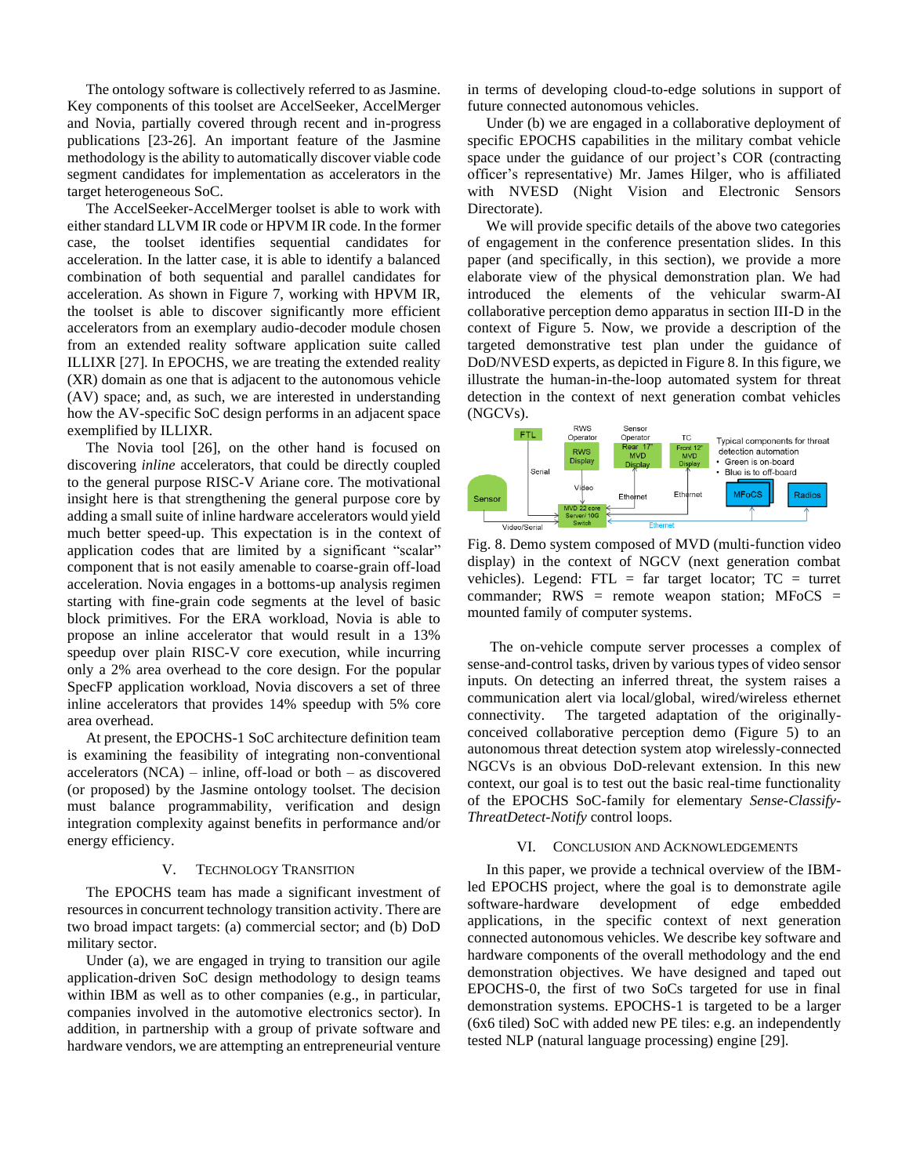The ontology software is collectively referred to as Jasmine. Key components of this toolset are AccelSeeker, AccelMerger and Novia, partially covered through recent and in-progress publications [23-26]. An important feature of the Jasmine methodology is the ability to automatically discover viable code segment candidates for implementation as accelerators in the target heterogeneous SoC.

 The AccelSeeker-AccelMerger toolset is able to work with either standard LLVM IR code or HPVM IR code. In the former case, the toolset identifies sequential candidates for acceleration. In the latter case, it is able to identify a balanced combination of both sequential and parallel candidates for acceleration. As shown in Figure 7, working with HPVM IR, the toolset is able to discover significantly more efficient accelerators from an exemplary audio-decoder module chosen from an extended reality software application suite called ILLIXR [27]. In EPOCHS, we are treating the extended reality (XR) domain as one that is adjacent to the autonomous vehicle (AV) space; and, as such, we are interested in understanding how the AV-specific SoC design performs in an adjacent space exemplified by ILLIXR.

 The Novia tool [26], on the other hand is focused on discovering *inline* accelerators, that could be directly coupled to the general purpose RISC-V Ariane core. The motivational insight here is that strengthening the general purpose core by adding a small suite of inline hardware accelerators would yield much better speed-up. This expectation is in the context of application codes that are limited by a significant "scalar" component that is not easily amenable to coarse-grain off-load acceleration. Novia engages in a bottoms-up analysis regimen starting with fine-grain code segments at the level of basic block primitives. For the ERA workload, Novia is able to propose an inline accelerator that would result in a 13% speedup over plain RISC-V core execution, while incurring only a 2% area overhead to the core design. For the popular SpecFP application workload, Novia discovers a set of three inline accelerators that provides 14% speedup with 5% core area overhead.

 At present, the EPOCHS-1 SoC architecture definition team is examining the feasibility of integrating non-conventional accelerators (NCA) – inline, off-load or both – as discovered (or proposed) by the Jasmine ontology toolset. The decision must balance programmability, verification and design integration complexity against benefits in performance and/or energy efficiency.

#### V. TECHNOLOGY TRANSITION

 The EPOCHS team has made a significant investment of resources in concurrent technology transition activity. There are two broad impact targets: (a) commercial sector; and (b) DoD military sector.

 Under (a), we are engaged in trying to transition our agile application-driven SoC design methodology to design teams within IBM as well as to other companies (e.g., in particular, companies involved in the automotive electronics sector). In addition, in partnership with a group of private software and hardware vendors, we are attempting an entrepreneurial venture in terms of developing cloud-to-edge solutions in support of future connected autonomous vehicles.

 Under (b) we are engaged in a collaborative deployment of specific EPOCHS capabilities in the military combat vehicle space under the guidance of our project's COR (contracting officer's representative) Mr. James Hilger, who is affiliated with NVESD (Night Vision and Electronic Sensors Directorate).

 We will provide specific details of the above two categories of engagement in the conference presentation slides. In this paper (and specifically, in this section), we provide a more elaborate view of the physical demonstration plan. We had introduced the elements of the vehicular swarm-AI collaborative perception demo apparatus in section III-D in the context of Figure 5. Now, we provide a description of the targeted demonstrative test plan under the guidance of DoD/NVESD experts, as depicted in Figure 8. In this figure, we illustrate the human-in-the-loop automated system for threat detection in the context of next generation combat vehicles (NGCVs).



Fig. 8. Demo system composed of MVD (multi-function video display) in the context of NGCV (next generation combat vehicles). Legend: FTL = far target locator;  $TC =$  turret commander;  $RWS$  = remote weapon station;  $MF_0CS$  = mounted family of computer systems.

 The on-vehicle compute server processes a complex of sense-and-control tasks, driven by various types of video sensor inputs. On detecting an inferred threat, the system raises a communication alert via local/global, wired/wireless ethernet connectivity. The targeted adaptation of the originallyconceived collaborative perception demo (Figure 5) to an autonomous threat detection system atop wirelessly-connected NGCVs is an obvious DoD-relevant extension. In this new context, our goal is to test out the basic real-time functionality of the EPOCHS SoC-family for elementary *Sense-Classify-ThreatDetect-Notify* control loops.

#### VI. CONCLUSION AND ACKNOWLEDGEMENTS

 In this paper, we provide a technical overview of the IBMled EPOCHS project, where the goal is to demonstrate agile software-hardware development of edge embedded applications, in the specific context of next generation connected autonomous vehicles. We describe key software and hardware components of the overall methodology and the end demonstration objectives. We have designed and taped out EPOCHS-0, the first of two SoCs targeted for use in final demonstration systems. EPOCHS-1 is targeted to be a larger (6x6 tiled) SoC with added new PE tiles: e.g. an independently tested NLP (natural language processing) engine [29].